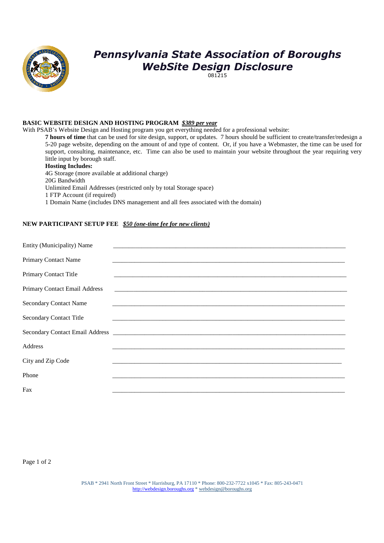

# *Pennsylvania State Association of Boroughs WebSite Design Disclosure*

081215

#### **BASIC WEBSITE DESIGN AND HOSTING PROGRAM** *\$389 per year*

With PSAB's Website Design and Hosting program you get everything needed for a professional website:

**7 hours of time** that can be used for site design, support, or updates. 7 hours should be sufficient to create/transfer/redesign a 5-20 page website, depending on the amount of and type of content. Or, if you have a Webmaster, the time can be used for support, consulting, maintenance, etc. Time can also be used to maintain your website throughout the year requiring very little input by borough staff.

#### **Hosting Includes:**

4G Storage (more available at additional charge) 20G Bandwidth Unlimited Email Addresses (restricted only by total Storage space) 1 FTP Account (if required) 1 Domain Name (includes DNS management and all fees associated with the domain)

#### **NEW PARTICIPANT SETUP FEE** *\$50 (one-time fee for new clients)*

| Entity (Municipality) Name     |                                                                                                                         |  |
|--------------------------------|-------------------------------------------------------------------------------------------------------------------------|--|
| <b>Primary Contact Name</b>    |                                                                                                                         |  |
| Primary Contact Title          |                                                                                                                         |  |
| Primary Contact Email Address  |                                                                                                                         |  |
| <b>Secondary Contact Name</b>  | <u> 1989 - John Stoff, deutscher Stoff, der Stoff, der Stoff, der Stoff, der Stoff, der Stoff, der Stoff, der Stoff</u> |  |
| <b>Secondary Contact Title</b> |                                                                                                                         |  |
|                                |                                                                                                                         |  |
| Address                        |                                                                                                                         |  |
| City and Zip Code              |                                                                                                                         |  |
| Phone                          |                                                                                                                         |  |
| Fax                            |                                                                                                                         |  |

Page 1 of 2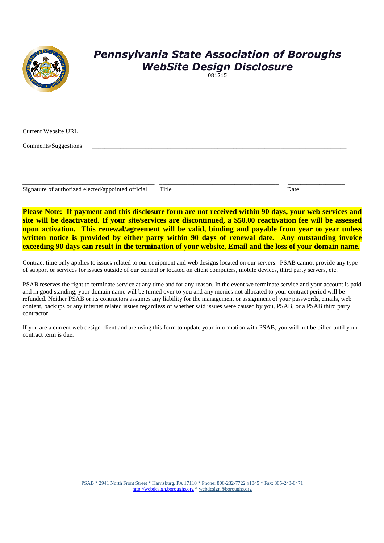|                      | <b>Pennsylvania State Association of Boroughs</b><br><b>WebSite Design Disclosure</b><br>081215 |
|----------------------|-------------------------------------------------------------------------------------------------|
| Current Website URL  |                                                                                                 |
| Comments/Suggestions |                                                                                                 |
|                      |                                                                                                 |
|                      |                                                                                                 |

Signature of authorized elected/appointed official Title Date

**Please Note: If payment and this disclosure form are not received within 90 days, your web services and site will be deactivated. If your site/services are discontinued, a \$50.00 reactivation fee will be assessed upon activation. This renewal/agreement will be valid, binding and payable from year to year unless written notice is provided by either party within 90 days of renewal date. Any outstanding invoice exceeding 90 days can result in the termination of your website, Email and the loss of your domain name.** 

Contract time only applies to issues related to our equipment and web designs located on our servers. PSAB cannot provide any type of support or services for issues outside of our control or located on client computers, mobile devices, third party servers, etc.

PSAB reserves the right to terminate service at any time and for any reason. In the event we terminate service and your account is paid and in good standing, your domain name will be turned over to you and any monies not allocated to your contract period will be refunded. Neither PSAB or its contractors assumes any liability for the management or assignment of your passwords, emails, web content, backups or any internet related issues regardless of whether said issues were caused by you, PSAB, or a PSAB third party contractor.

If you are a current web design client and are using this form to update your information with PSAB, you will not be billed until your contract term is due.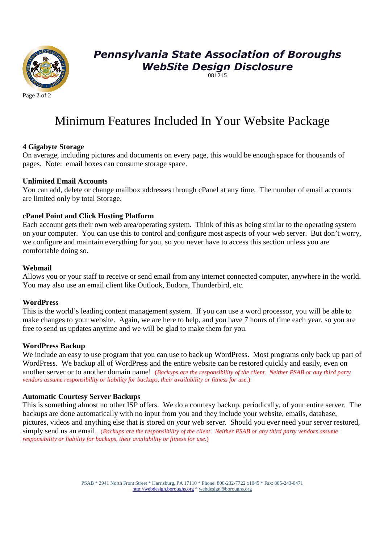

# *Pennsylvania State Association of Boroughs WebSite Design Disclosure*

081215

# Minimum Features Included In Your Website Package

# **4 Gigabyte Storage**

On average, including pictures and documents on every page, this would be enough space for thousands of pages. Note: email boxes can consume storage space.

# **Unlimited Email Accounts**

You can add, delete or change mailbox addresses through cPanel at any time. The number of email accounts are limited only by total Storage.

### **cPanel Point and Click Hosting Platform**

Each account gets their own web area/operating system. Think of this as being similar to the operating system on your computer. You can use this to control and configure most aspects of your web server. But don't worry, we configure and maintain everything for you, so you never have to access this section unless you are comfortable doing so.

### **Webmail**

Allows you or your staff to receive or send email from any internet connected computer, anywhere in the world. You may also use an email client like Outlook, Eudora, Thunderbird, etc.

#### **WordPress**

This is the world's leading content management system. If you can use a word processor, you will be able to make changes to your website. Again, we are here to help, and you have 7 hours of time each year, so you are free to send us updates anytime and we will be glad to make them for you.

#### **WordPress Backup**

We include an easy to use program that you can use to back up WordPress. Most programs only back up part of WordPress. We backup all of WordPress and the entire website can be restored quickly and easily, even on another server or to another domain name! (*Backups are the responsibility of the client. Neither PSAB or any third party vendors assume responsibility or liability for backups, their availability or fitness for use.*)

# **Automatic Courtesy Server Backups**

This is something almost no other ISP offers. We do a courtesy backup, periodically, of your entire server. The backups are done automatically with no input from you and they include your website, emails, database, pictures, videos and anything else that is stored on your web server. Should you ever need your server restored, simply send us an email. (*Backups are the responsibility of the client. Neither PSAB or any third party vendors assume responsibility or liability for backups, their availability or fitness for use.*)